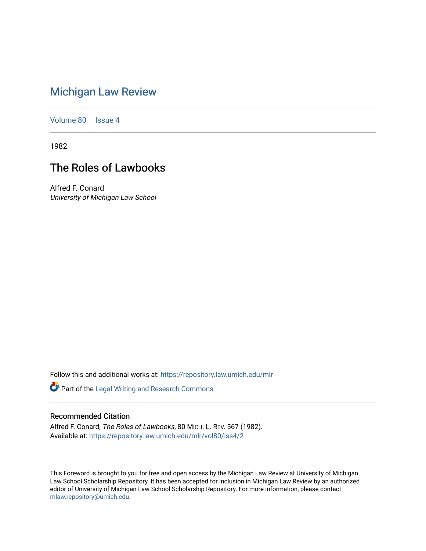# [Michigan Law Review](https://repository.law.umich.edu/mlr)

[Volume 80](https://repository.law.umich.edu/mlr/vol80) | [Issue 4](https://repository.law.umich.edu/mlr/vol80/iss4)

1982

# The Roles of Lawbooks

Alfred F. Conard University of Michigan Law School

Follow this and additional works at: [https://repository.law.umich.edu/mlr](https://repository.law.umich.edu/mlr?utm_source=repository.law.umich.edu%2Fmlr%2Fvol80%2Fiss4%2F2&utm_medium=PDF&utm_campaign=PDFCoverPages) 

Part of the [Legal Writing and Research Commons](http://network.bepress.com/hgg/discipline/614?utm_source=repository.law.umich.edu%2Fmlr%2Fvol80%2Fiss4%2F2&utm_medium=PDF&utm_campaign=PDFCoverPages) 

## Recommended Citation

Alfred F. Conard, The Roles of Lawbooks, 80 MICH. L. REV. 567 (1982). Available at: [https://repository.law.umich.edu/mlr/vol80/iss4/2](https://repository.law.umich.edu/mlr/vol80/iss4/2?utm_source=repository.law.umich.edu%2Fmlr%2Fvol80%2Fiss4%2F2&utm_medium=PDF&utm_campaign=PDFCoverPages)

This Foreword is brought to you for free and open access by the Michigan Law Review at University of Michigan Law School Scholarship Repository. It has been accepted for inclusion in Michigan Law Review by an authorized editor of University of Michigan Law School Scholarship Repository. For more information, please contact [mlaw.repository@umich.edu.](mailto:mlaw.repository@umich.edu)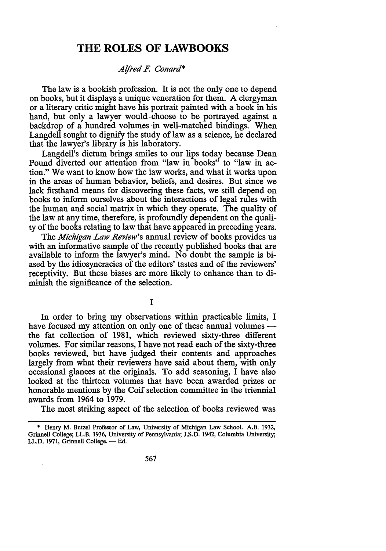## **THE ROLES OF LAWBOOKS**

### *Alfred F. Conard\**

The law is a bookish profession. It is not the only one to depend on books, but it displays a unique veneration for them. A clergyman or a literary critic might have his portrait painted with a book in his hand, but only a lawyer would choose to be portrayed against a backdrop of a hundred volumes in well-matched bindings. When Langdell sought to dignify the study of law as a science, he declared that the lawyer's library is his laboratory.

Langdell's dictum brings smiles to our lips today because Dean Pound diverted our attention from "law in books" to "law in action." We want to know how the law works, and what it works upon in the areas of human behavior, beliefs, and desires. But since we lack firsthand means for discovering these facts, we still depend on books to inform ourselves about the interactions of legal rules with the human and social matrix in which they operate. The quality of the law at any time, therefore, is profoundly dependent on the quality of the books relating to law that have appeared in preceding years.

The *Michigan Law Review's* annual review of books provides us with an informative sample of the recently published books that are available to inform the lawyer's mind. No doubt the sample is biased by the idiosyncracies of the editors' tastes and of the reviewers' receptivity. But these biases are more likely to enhance than to diminish the significance of the selection.

I

In order to bring my observations within practicable limits, I have focused my attention on only one of these annual volumes the fat collection of 1981, which reviewed sixty-three different volumes. For similar reasons, I have not read each of the sixty-three books reviewed, but have judged their contents and approaches largely from what their reviewers have said about them, with only occasional glances at the originals. To add seasoning, I have also looked at the thirteen volumes that have been awarded prizes or honorable mentions by the Coif selection committee in the triennial awards from 1964 to 1979.

The most striking aspect of the selection of books reviewed was

<sup>\*</sup> Henry M. Butzel Professor of Law, University of Michigan Law School. A.B. 1932, Grinnell College; LL.B. 1936, University of Pennsylvania; J.S.D. 1942, Columbia University; LL.D. 1971, Grinnell College. - Ed.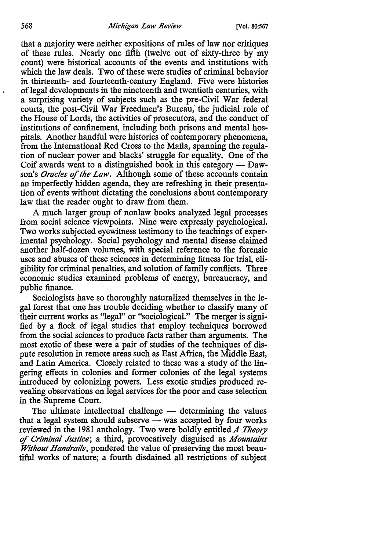#### 568 *Michigan Law Review* (Vol. 80:567

that a majority were neither expositions of rules of law nor critiques of these rules. Nearly one fifth (twelve out of sixty-three by my count) were historical accounts of the events and institutions with which the law deals. Two of these were studies of criminal behavior in thirteenth- and fourteenth-century England. Five were histories of legal developments in the nineteenth and twentieth centuries, with a surprising variety of subjects such as the pre-Civil War federal courts, the post-Civil War Freedmen's Bureau; the judicial role of the House of Lords, the activities of prosecutors, and the conduct of institutions of confinement, including both prisons and mental hospitals. Another handful were histories of contemporary phenomena, from the International Red Cross to the Mafia, spanning the regulation of nuclear power and blacks' struggle for equality. One of the Coif awards went to a distinguished book in this category  $-$  Dawson's *Oracles of the Law.* Although some of these accounts contain an imperfectly hidden agenda, they are refreshing in their presentation of events without dictating the conclusions about contemporary law that the reader ought to draw from them.

A much larger group of nonlaw books analyzed legal processes from social science viewpoints. Nine were expressly psychological. Two works subjected eyewitness testimony to the teachings of experimental psychology. Social psychology and mental disease claimed another half-dozen volumes, with special reference to the forensic uses and abuses of these sciences in determining fitness for trial, eligibility for criminal penalties, and solution of family conflicts. Three economic studies examined problems of energy, bureaucracy, and public finance.

Sociologists have so thoroughly naturalized themselves in the legal forest that one has trouble deciding whether to classify many of their current works as "legal" or "sociological." The merger is signified by a flock of legal studies that employ techniques borrowed from the social sciences to produce facts rather than arguments. The most exotic of these were a pair of studies of the techniques of dispute resolution in remote areas such as East Africa, the Middle East, and Latin America. Closely related to these was a study of the lingering effects in colonies and former colonies of the legal systems introduced by colonizing powers. Less exotic studies produced revealing observations on legal services for the poor and case selection in the Supreme Court.

The ultimate intellectual challenge  $-$  determining the values that a legal system should subserve — was accepted by four works reviewed in the 1981 anthology. Two were boldly entitled *A Theory of Criminal Justice;* a third, provocatively disguised as *Mountains Without Handrails,* pondered the value of preserving the most beautiful works of nature; a fourth disdained all restrictions of subject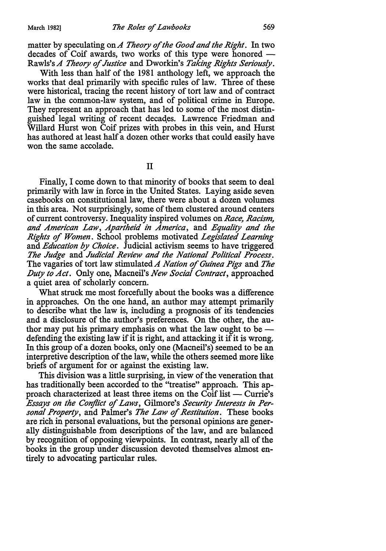matter by speculating on *A Theory* of *the Good and the Right.* In two decades of Coif awards, two works of this type were honored  $-$ Rawls's *A Theory* of *Justice* and Dworkin's *Taking Rights Seriously.* 

With less than half of the 1981 anthology left, we approach the works that deal primarily with specific rules of law. Three of these were historical, tracing the recent history of tort law and of contract law in the common-law system, and of political crime in Europe. They represent an approach that has led to some of the most distinguished legal writing of recent decaqes. Lawrence Friedman and Willard Hurst won Coif prizes with probes in this vein, and Hurst has authored at least half a dozen other works that could easily have won the same accolade.

II

Finally, I come down to that minority of books that seem to deal primarily with law in force in the United States. Laying aside seven casebooks on constitutional law, there were about a dozen volumes in this area. Not surprisingly, some of them clustered around centers of current controversy. Inequality inspired volumes on *Race, Racism, and American Law, Apartheid in America,* and *Equality and the Rights* of *Women.* School problems motivated *Legislated Learning*  and *Education by Choice.* Judicial activism seems to have triggered *The Judge* and *Judicial Review and the National Political Process.*  The vagaries of tort law stimulated A Nation of Guinea Pigs and The *Duty to Act.* Only one, Macneil's *New Social Contract,* approached a quiet area of scholarly concern.

What struck me most forcefully about the books was a difference in approaches. On the one hand, an author may attempt primarily to describe what the law is, including a prognosis of its tendencies and a disclosure of the author's preferences. On the other, the author may put his primary emphasis on what the law ought to be  $$ defending the existing law if it is right, and attacking it if it is wrong. In this group of a dozen books, only one (Macneil's) seemed to be an interpretive description of the law, while the others seemed more like briefs of argument for or against the existing law.

This division was a little surprising, in view of the veneration that has traditionally been accorded to the "treatise" approach. This approach characterized at least three items on the Coif list  $-$  Currie's *Essays on the Conflict* of *Laws,* Gilmore's *Security Interests in Personal Property,* and Palmer's *The Law* of *Restitution.* These books are rich in personal evaluations, but the personal opinions are generally distinguishable from descriptions of the law, and are balanced by recognition of opposing viewpoints. In contrast, nearly all of the books in the group under discussion devoted themselves almost entirely to advocating particular rules.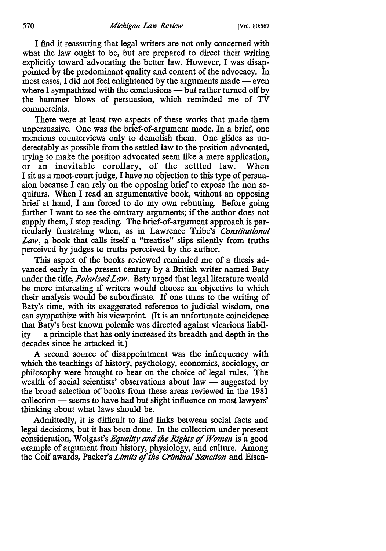I find it reassuring that legal writers are not only concerned with what the law ought to be, but are prepared to direct their writing explicitly toward advocating the better law. However, I was disappointed by the predominant quality and content of the advocacy. In most cases, I did not feel enlightened by the arguments made  $-$  even where I sympathized with the conclusions  $-$  but rather turned off by the hammer blows of persuasion, which reminded me of TV commercials.

There were at least two aspects of these works that made them unpersuasive. One was the brief-of-argument mode. In a brief, one mentions counterviews only to demolish them. One glides as undetectably as possible from the settled law to the position advocated, trying to make the position advocated seem like a mere application, or an inevitable corollary, of the settled law. When I sit as a moot-court judge, I have no objection to this type of persuasion because I can rely on the opposing brief to expose the non sequiturs. When I read an argumentative book, without an opposing brief at hand, I am forced to do my own rebutting. Before going further I want to see the contrary arguments; if the author does not supply them, I stop reading. The brief-of-argument approach is particularly frustrating when, as in Lawrence Tribe's *Constitutional Law,* a book that calls itself a "treatise" slips silently from truths perceived by judges to truths perceived by the author.

This aspect of the books reviewed reminded me of a thesis advanced early in the present century by a British writer named Baty under the title, *Polarized Law.* Baty urged that legal literature would be more interesting if writers would choose an objective to which their analysis would be subordinate. If one turns to the writing of Baty's time, with its exaggerated reference to judicial wisdom, one can sympathize with his viewpoint. (It is an unfortunate coincidence that Baty's best known polemic was directed against vicarious liabil $ity - a$  principle that has only increased its breadth and depth in the decades since he attacked it.)

A second source of disappointment was the infrequency with which the teachings of history, psychology, economics, sociology, or philosophy were brought to bear on the choice of legal rules. The wealth of social scientists' observations about law  $-$  suggested by the broad selection of books from these areas reviewed in the 1981 collection — seems to have had but slight influence on most lawyers' thinking about what laws should be.

Admittedly, it is difficult to find links between social facts and legal decisions, but it has been done. In the collection under present consideration, Wolgast's *Equality and the Rights of Women* is a good example of argument from history, physiology, and culture. Among the Coif awards, Packer's *Limits* of *the Criminal Sanction* and Eisen-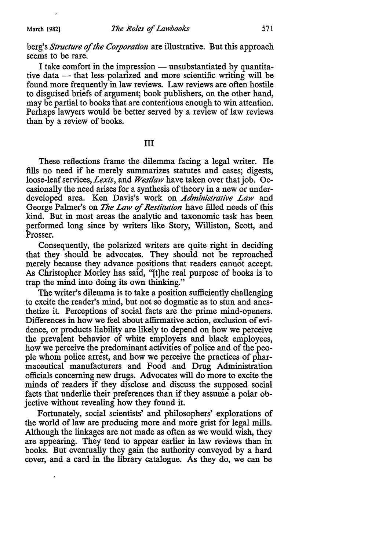### berg's *Structure* of *the Corporation* are illustrative. But this approach seems to be rare.

I take comfort in the impression  $-$  unsubstantiated by quantitative data — that less polarized and more scientific writing will be found more frequently in law reviews. Law reviews are often hostile to disguised briefs of argument; book publishers, on the other hand, may be partial to books that are contentious enough to win attention. Perhaps lawyers would be better served by a review of law reviews than by a review of books.

#### III

These reflections frame the dilemma facing a legal writer. He fills no need if he merely summarizes statutes and cases; digests, loose-leaf services, *Lexis,* and *West/aw* have taken over that job. Occasionally the need arises for a synthesis of theory in a new or underdeveloped area. Ken Davis's work on *Administrative Law* and George Palmer's on *The Law* of *Restitution* have filled needs of this kind. But in most areas the analytic and taxonomic task has been performed long since by writers like Story, Williston, Scott, and Prosser.

Consequently, the polarized writers are quite right in deciding that they should be advocates. They should not be reproached merely because they advance positions that readers cannot accept. As Christopher Morley has said, "[t]he real purpose of books is to trap the mind into doing its own thinking."

The writer's dilemma is to take a position sufficiently challenging to excite the reader's mind, but not so dogmatic as to stun and anesthetize it. Perceptions of social facts are the prime mind-openers. Differences in how we feel about affirmative action, exclusion of evidence, or products liability are likely to depend on how we perceive the prevalent behavior of white employers and black employees, how we perceive the predominant activities of police and of the people whom police arrest, and how we perceive the practices of pharmaceutical manufacturers and Food and Drug Administration officials concerning new drugs. Advocates will do more to excite the minds of readers if they disclose and discuss the supposed social facts that underlie their preferences than if they assume a polar objective without revealing how they found it.

Fortunately, social scientists' and philosophers' explorations of the world of law are producing more and more grist for legal mills. Although the linkages are not made as often as we would wish, they are appearing. They tend to appear earlier in law reviews than in books. But eventually they gain the authority conveyed by a hard cover, and a card in the library catalogue. As they do, we can be